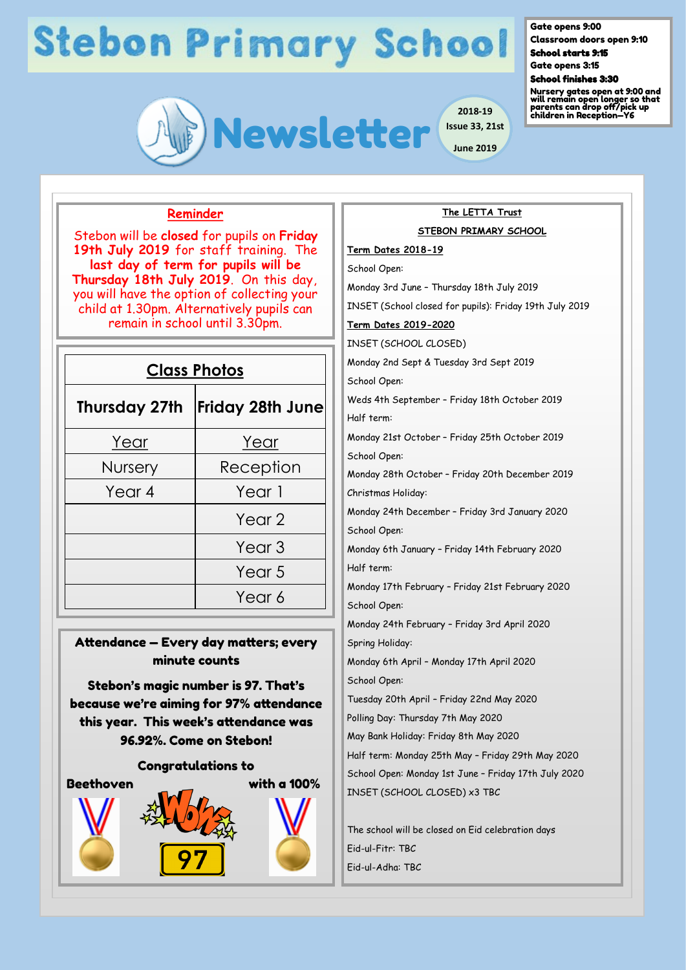

Gate opens 9:00

Classroom doors open 9:10 School starts 9:15

Gate opens 3:15

#### School finishes 3:30

Nursery gates open at 9:00 and will remain open longer so that parents can drop off/pick up children in Reception—Y6

### **Reminder**

Stebon will be **closed** for pupils on **Friday 19th July 2019** for staff training. The **last day of term for pupils will be Thursday 18th July 2019**. On this day, you will have the option of collecting your child at 1.30pm. Alternatively pupils can remain in school until 3.30pm.

| <b>Class Photos</b>  |                         |
|----------------------|-------------------------|
| <b>Thursday 27th</b> | <b>Friday 28th June</b> |
| <u>Year</u>          | Year                    |
| <b>Nursery</b>       | Reception               |
| Year 4               | Year 1                  |
|                      | Year <sub>2</sub>       |
|                      | Year <sub>3</sub>       |
|                      | Year 5                  |
|                      | Year 6                  |

### Attendance — Every day matters; every minute counts

Stebon's magic number is 97. That's because we're aiming for 97% attendance this year. This week's attendance was 96.92%. Come on Stebon!

#### Congratulations to



## **The LETTA Trust STEBON PRIMARY SCHOOL Term Dates 2018-19**  School Open: Monday 3rd June – Thursday 18th July 2019 INSET (School closed for pupils): Friday 19th July 2019 **Term Dates 2019-2020**  INSET (SCHOOL CLOSED) Monday 2nd Sept & Tuesday 3rd Sept 2019 School Open: Weds 4th September – Friday 18th October 2019 Half term:

Monday 21st October – Friday 25th October 2019 School Open:

Monday 28th October – Friday 20th December 2019 Christmas Holiday:

Monday 24th December – Friday 3rd January 2020 School Open:

Monday 6th January – Friday 14th February 2020 Half term:

Monday 17th February – Friday 21st February 2020 School Open:

Monday 24th February – Friday 3rd April 2020 Spring Holiday:

Monday 6th April – Monday 17th April 2020 School Open:

Tuesday 20th April – Friday 22nd May 2020

Polling Day: Thursday 7th May 2020

May Bank Holiday: Friday 8th May 2020

Half term: Monday 25th May – Friday 29th May 2020 School Open: Monday 1st June – Friday 17th July 2020 INSET (SCHOOL CLOSED) x3 TBC

The school will be closed on Eid celebration days Eid-ul-Fitr: TBC Eid-ul-Adha: TBC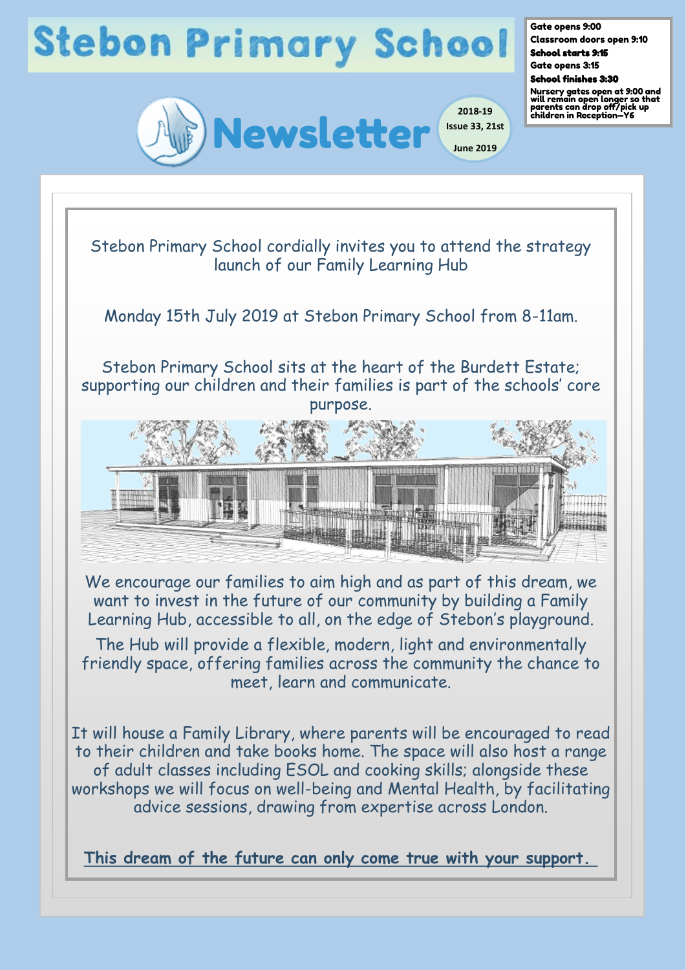

Gate opens 9:00 Classroom doors open 9:10

School starts 9:15 Gate opens 3:15

School finishes 3:30

Nursery gates open at 9:00 and will remain open longer so that parents can drop off/pick up children in Reception—Y6

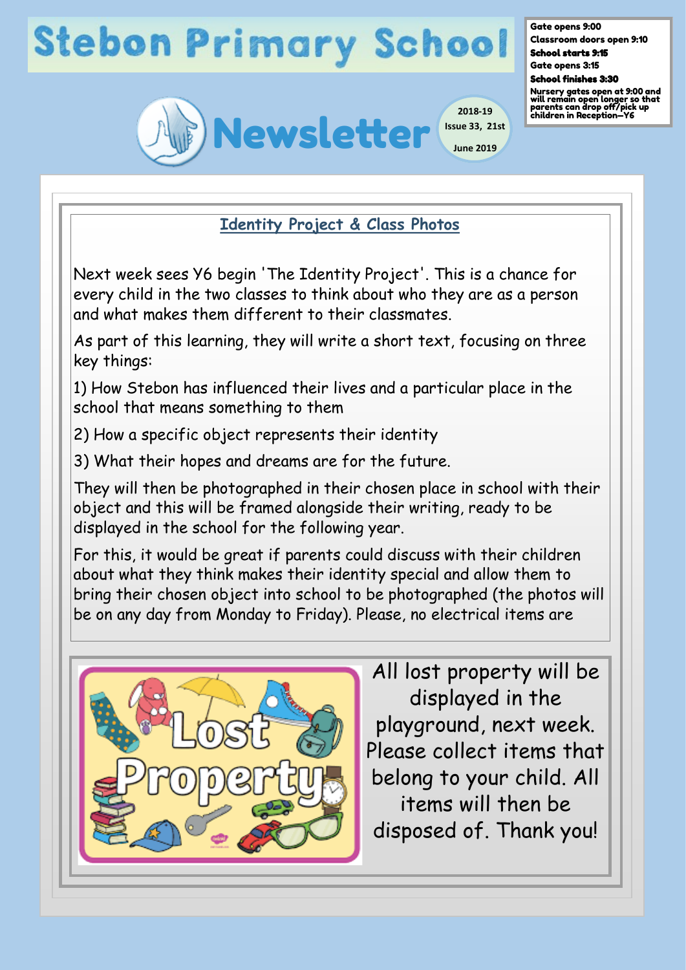

Gate opens 9:00 Classroom doors open 9:10 School starts 9:15 Gate opens 3:15

School finishes 3:30

Nursery gates open at 9:00 and will remain open longer so that parents can drop off/pick up children in Reception—Y6

**Identity Project & Class Photos** 

Next week sees Y6 begin 'The Identity Project'. This is a chance for every child in the two classes to think about who they are as a person and what makes them different to their classmates.

As part of this learning, they will write a short text, focusing on three key things:

1) How Stebon has influenced their lives and a particular place in the school that means something to them

2) How a specific object represents their identity

3) What their hopes and dreams are for the future.

They will then be photographed in their chosen place in school with their object and this will be framed alongside their writing, ready to be displayed in the school for the following year.

For this, it would be great if parents could discuss with their children about what they think makes their identity special and allow them to bring their chosen object into school to be photographed (the photos will be on any day from Monday to Friday). Please, no electrical items are



All lost property will be displayed in the playground, next week. Please collect items that belong to your child. All items will then be disposed of. Thank you!